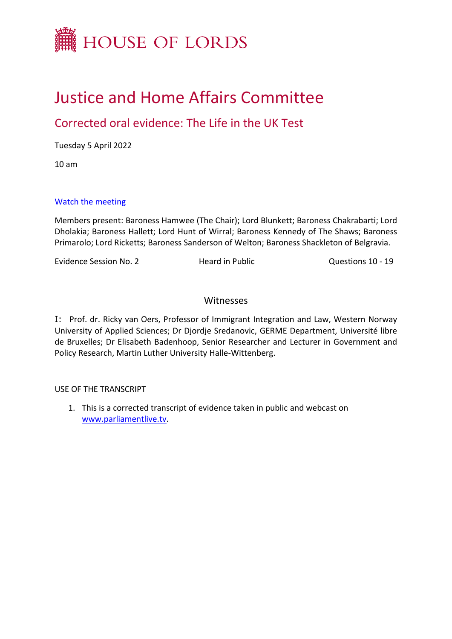

# Justice and Home Affairs Committee

# Corrected oral evidence: The Life in the UK Test

Tuesday 5 April 2022

10 am

## [Watch](https://parliamentlive.tv/event/index/368fd879-3b2b-4a05-986d-8b4ec33a48c3) [the](https://parliamentlive.tv/event/index/368fd879-3b2b-4a05-986d-8b4ec33a48c3) [meeting](https://parliamentlive.tv/event/index/368fd879-3b2b-4a05-986d-8b4ec33a48c3)

Members present: Baroness Hamwee (The Chair); Lord Blunkett; Baroness Chakrabarti; Lord Dholakia; Baroness Hallett; Lord Hunt of Wirral; Baroness Kennedy of The Shaws; Baroness Primarolo; Lord Ricketts; Baroness Sanderson of Welton; Baroness Shackleton of Belgravia.

Evidence Session No. 2 **Heard in Public** Cuestions 10 - 19

## **Witnesses**

[I:](#page-1-0) Prof. dr. Ricky van Oers, Professor of Immigrant Integration and Law, Western Norway University of Applied Sciences; Dr Djordje Sredanovic, GERME Department, Université libre de Bruxelles; Dr Elisabeth Badenhoop, Senior Researcher and Lecturer in Government and Policy Research, Martin Luther University Halle-Wittenberg.

#### USE OF THE TRANSCRIPT

1. This is a corrected transcript of evidence taken in public and webcast on [www.parliamentlive.tv.](http://www.parliamentlive.tv/)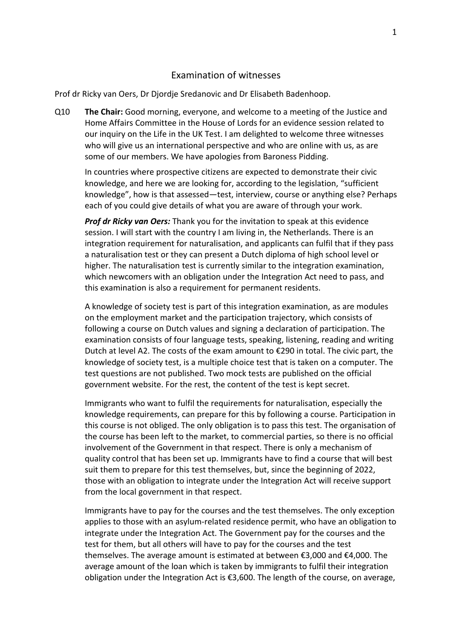#### <span id="page-1-0"></span>Examination of witnesses

Prof dr Ricky van Oers, Dr Djordje Sredanovic and Dr Elisabeth Badenhoop.

Q10 **The Chair:** Good morning, everyone, and welcome to a meeting of the Justice and Home Affairs Committee in the House of Lords for an evidence session related to our inquiry on the Life in the UK Test. I am delighted to welcome three witnesses who will give us an international perspective and who are online with us, as are some of our members. We have apologies from Baroness Pidding.

In countries where prospective citizens are expected to demonstrate their civic knowledge, and here we are looking for, according to the legislation, "sufficient knowledge", how is that assessed—test, interview, course or anything else? Perhaps each of you could give details of what you are aware of through your work.

*Prof dr Ricky van Oers:* Thank you for the invitation to speak at this evidence session. I will start with the country I am living in, the Netherlands. There is an integration requirement for naturalisation, and applicants can fulfil that if they pass a naturalisation test or they can present a Dutch diploma of high school level or higher. The naturalisation test is currently similar to the integration examination, which newcomers with an obligation under the Integration Act need to pass, and this examination is also a requirement for permanent residents.

A knowledge of society test is part of this integration examination, as are modules on the employment market and the participation trajectory, which consists of following a course on Dutch values and signing a declaration of participation. The examination consists of four language tests, speaking, listening, reading and writing Dutch at level A2. The costs of the exam amount to €290 in total. The civic part, the knowledge of society test, is a multiple choice test that is taken on a computer. The test questions are not published. Two mock tests are published on the official government website. For the rest, the content of the test is kept secret.

Immigrants who want to fulfil the requirements for naturalisation, especially the knowledge requirements, can prepare for this by following a course. Participation in this course is not obliged. The only obligation is to pass this test. The organisation of the course has been left to the market, to commercial parties, so there is no official involvement of the Government in that respect. There is only a mechanism of quality control that has been set up. Immigrants have to find a course that will best suit them to prepare for this test themselves, but, since the beginning of 2022, those with an obligation to integrate under the Integration Act will receive support from the local government in that respect.

Immigrants have to pay for the courses and the test themselves. The only exception applies to those with an asylum-related residence permit, who have an obligation to integrate under the Integration Act. The Government pay for the courses and the test for them, but all others will have to pay for the courses and the test themselves. The average amount is estimated at between €3,000 and €4,000. The average amount of the loan which is taken by immigrants to fulfil their integration obligation under the Integration Act is  $£3,600$ . The length of the course, on average,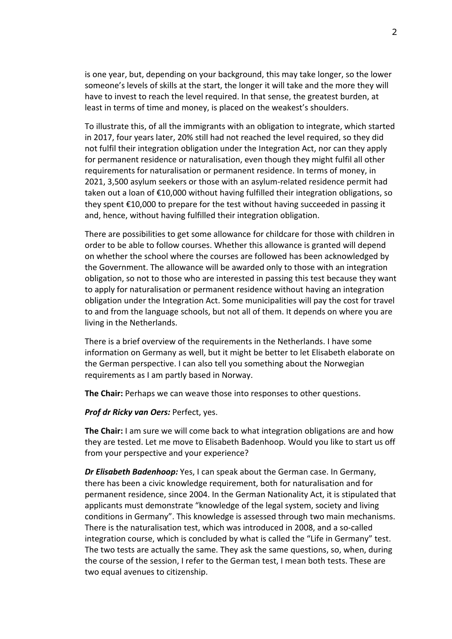is one year, but, depending on your background, this may take longer, so the lower someone's levels of skills at the start, the longer it will take and the more they will have to invest to reach the level required. In that sense, the greatest burden, at least in terms of time and money, is placed on the weakest's shoulders.

To illustrate this, of all the immigrants with an obligation to integrate, which started in 2017, four years later, 20% still had not reached the level required, so they did not fulfil their integration obligation under the Integration Act, nor can they apply for permanent residence or naturalisation, even though they might fulfil all other requirements for naturalisation or permanent residence. In terms of money, in 2021, 3,500 asylum seekers or those with an asylum-related residence permit had taken out a loan of €10,000 without having fulfilled their integration obligations, so they spent €10,000 to prepare for the test without having succeeded in passing it and, hence, without having fulfilled their integration obligation.

There are possibilities to get some allowance for childcare for those with children in order to be able to follow courses. Whether this allowance is granted will depend on whether the school where the courses are followed has been acknowledged by the Government. The allowance will be awarded only to those with an integration obligation, so not to those who are interested in passing this test because they want to apply for naturalisation or permanent residence without having an integration obligation under the Integration Act. Some municipalities will pay the cost for travel to and from the language schools, but not all of them. It depends on where you are living in the Netherlands.

There is a brief overview of the requirements in the Netherlands. I have some information on Germany as well, but it might be better to let Elisabeth elaborate on the German perspective. I can also tell you something about the Norwegian requirements as I am partly based in Norway.

**The Chair:** Perhaps we can weave those into responses to other questions.

*Prof dr Ricky van Oers:* Perfect, yes.

**The Chair:** I am sure we will come back to what integration obligations are and how they are tested. Let me move to Elisabeth Badenhoop. Would you like to start us off from your perspective and your experience?

*Dr Elisabeth Badenhoop:* Yes, I can speak about the German case. In Germany, there has been a civic knowledge requirement, both for naturalisation and for permanent residence, since 2004. In the German Nationality Act, it is stipulated that applicants must demonstrate "knowledge of the legal system, society and living conditions in Germany". This knowledge is assessed through two main mechanisms. There is the naturalisation test, which was introduced in 2008, and a so-called integration course, which is concluded by what is called the "Life in Germany" test. The two tests are actually the same. They ask the same questions, so, when, during the course of the session, I refer to the German test, I mean both tests. These are two equal avenues to citizenship.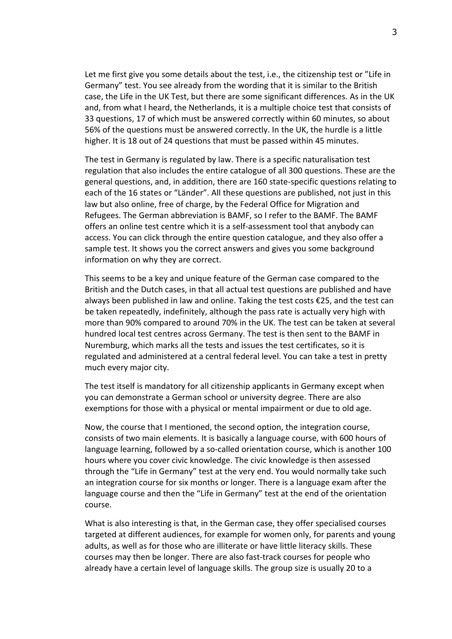Let me first give you some details about the test, i.e., the citizenship test or "Life in Germany" test. You see already from the wording that it is similar to the British case, the Life in the UK Test, but there are some significant differences. As in the UK and, from what I heard, the Netherlands, it is a multiple choice test that consists of 33 questions, 17 of which must be answered correctly within 60 minutes, so about 56% of the questions must be answered correctly. In the UK, the hurdle is a little higher. It is 18 out of 24 questions that must be passed within 45 minutes.

The test in Germany is regulated by law. There is a specific naturalisation test regulation that also includes the entire catalogue of all 300 questions. These are the general questions, and, in addition, there are 160 state-specific questions relating to each of the 16 states or "Länder". All these questions are published, not just in this law but also online, free of charge, by the Federal Office for Migration and Refugees. The German abbreviation is BAMF, so I refer to the BAMF. The BAMF offers an online test centre which it is a self-assessment tool that anybody can access. You can click through the entire question catalogue, and they also offer a sample test. It shows you the correct answers and gives you some background information on why they are correct.

This seems to be a key and unique feature of the German case compared to the British and the Dutch cases, in that all actual test questions are published and have always been published in law and online. Taking the test costs €25, and the test can be taken repeatedly, indefinitely, although the pass rate is actually very high with more than 90% compared to around 70% in the UK. The test can be taken at several hundred local test centres across Germany. The test is then sent to the BAMF in Nuremburg, which marks all the tests and issues the test certificates, so it is regulated and administered at a central federal level. You can take a test in pretty much every major city.

The test itself is mandatory for all citizenship applicants in Germany except when you can demonstrate a German school or university degree. There are also exemptions for those with a physical or mental impairment or due to old age.

Now, the course that I mentioned, the second option, the integration course, consists of two main elements. It is basically a language course, with 600 hours of language learning, followed by a so-called orientation course, which is another 100 hours where you cover civic knowledge. The civic knowledge is then assessed through the "Life in Germany" test at the very end. You would normally take such an integration course for six months or longer. There is a language exam after the language course and then the "Life in Germany" test at the end of the orientation course.

What is also interesting is that, in the German case, they offer specialised courses targeted at different audiences, for example for women only, for parents and young adults, as well as for those who are illiterate or have little literacy skills. These courses may then be longer. There are also fast-track courses for people who already have a certain level of language skills. The group size is usually 20 to a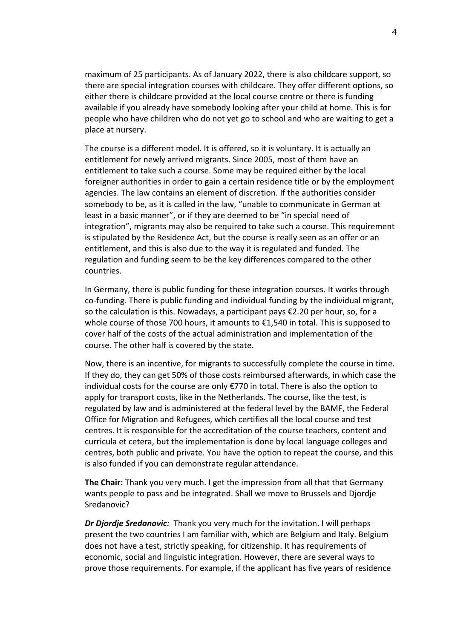maximum of 25 participants. As of January 2022, there is also childcare support, so there are special integration courses with childcare. They offer different options, so either there is childcare provided at the local course centre or there is funding available if you already have somebody looking after your child at home. This is for people who have children who do not yet go to school and who are waiting to get a place at nursery.

The course is a different model. It is offered, so it is voluntary. It is actually an entitlement for newly arrived migrants. Since 2005, most of them have an entitlement to take such a course. Some may be required either by the local foreigner authorities in order to gain a certain residence title or by the employment agencies. The law contains an element of discretion. If the authorities consider somebody to be, as it is called in the law, "unable to communicate in German at least in a basic manner", or if they are deemed to be "in special need of integration", migrants may also be required to take such a course. This requirement is stipulated by the Residence Act, but the course is really seen as an offer or an entitlement, and this is also due to the way it is regulated and funded. The regulation and funding seem to be the key differences compared to the other countries.

In Germany, there is public funding for these integration courses. It works through co-funding. There is public funding and individual funding by the individual migrant, so the calculation is this. Nowadays, a participant pays €2.20 per hour, so, for a whole course of those 700 hours, it amounts to €1,540 in total. This is supposed to cover half of the costs of the actual administration and implementation of the course. The other half is covered by the state.

Now, there is an incentive, for migrants to successfully complete the course in time. If they do, they can get 50% of those costs reimbursed afterwards, in which case the individual costs for the course are only  $\epsilon$ 770 in total. There is also the option to apply for transport costs, like in the Netherlands. The course, like the test, is regulated by law and is administered at the federal level by the BAMF, the Federal Office for Migration and Refugees, which certifies all the local course and test centres. It is responsible for the accreditation of the course teachers, content and curricula et cetera, but the implementation is done by local language colleges and centres, both public and private. You have the option to repeat the course, and this is also funded if you can demonstrate regular attendance.

**The Chair:** Thank you very much. I get the impression from all that that Germany wants people to pass and be integrated. Shall we move to Brussels and Djordje Sredanovic?

*Dr Djordje Sredanovic:* Thank you very much for the invitation. I will perhaps present the two countries I am familiar with, which are Belgium and Italy. Belgium does not have a test, strictly speaking, for citizenship. It has requirements of economic, social and linguistic integration. However, there are several ways to prove those requirements. For example, if the applicant has five years of residence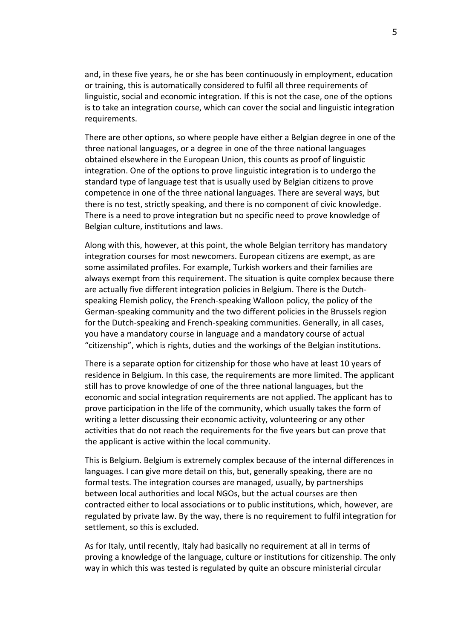and, in these five years, he or she has been continuously in employment, education or training, this is automatically considered to fulfil all three requirements of linguistic, social and economic integration. If this is not the case, one of the options is to take an integration course, which can cover the social and linguistic integration requirements.

There are other options, so where people have either a Belgian degree in one of the three national languages, or a degree in one of the three national languages obtained elsewhere in the European Union, this counts as proof of linguistic integration. One of the options to prove linguistic integration is to undergo the standard type of language test that is usually used by Belgian citizens to prove competence in one of the three national languages. There are several ways, but there is no test, strictly speaking, and there is no component of civic knowledge. There is a need to prove integration but no specific need to prove knowledge of Belgian culture, institutions and laws.

Along with this, however, at this point, the whole Belgian territory has mandatory integration courses for most newcomers. European citizens are exempt, as are some assimilated profiles. For example, Turkish workers and their families are always exempt from this requirement. The situation is quite complex because there are actually five different integration policies in Belgium. There is the Dutchspeaking Flemish policy, the French-speaking Walloon policy, the policy of the German-speaking community and the two different policies in the Brussels region for the Dutch-speaking and French-speaking communities. Generally, in all cases, you have a mandatory course in language and a mandatory course of actual "citizenship", which is rights, duties and the workings of the Belgian institutions.

There is a separate option for citizenship for those who have at least 10 years of residence in Belgium. In this case, the requirements are more limited. The applicant still has to prove knowledge of one of the three national languages, but the economic and social integration requirements are not applied. The applicant has to prove participation in the life of the community, which usually takes the form of writing a letter discussing their economic activity, volunteering or any other activities that do not reach the requirements for the five years but can prove that the applicant is active within the local community.

This is Belgium. Belgium is extremely complex because of the internal differences in languages. I can give more detail on this, but, generally speaking, there are no formal tests. The integration courses are managed, usually, by partnerships between local authorities and local NGOs, but the actual courses are then contracted either to local associations or to public institutions, which, however, are regulated by private law. By the way, there is no requirement to fulfil integration for settlement, so this is excluded.

As for Italy, until recently, Italy had basically no requirement at all in terms of proving a knowledge of the language, culture or institutions for citizenship. The only way in which this was tested is regulated by quite an obscure ministerial circular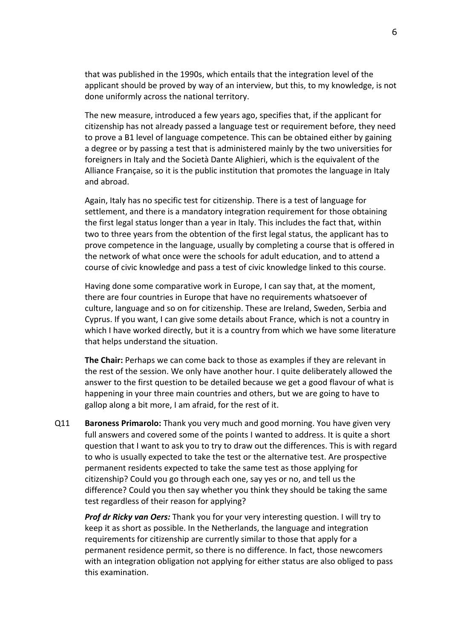that was published in the 1990s, which entails that the integration level of the applicant should be proved by way of an interview, but this, to my knowledge, is not done uniformly across the national territory.

The new measure, introduced a few years ago, specifies that, if the applicant for citizenship has not already passed a language test or requirement before, they need to prove a B1 level of language competence. This can be obtained either by gaining a degree or by passing a test that is administered mainly by the two universities for foreigners in Italy and the Società Dante Alighieri, which is the equivalent of the Alliance Française, so it is the public institution that promotes the language in Italy and abroad.

Again, Italy has no specific test for citizenship. There is a test of language for settlement, and there is a mandatory integration requirement for those obtaining the first legal status longer than a year in Italy. This includes the fact that, within two to three years from the obtention of the first legal status, the applicant has to prove competence in the language, usually by completing a course that is offered in the network of what once were the schools for adult education, and to attend a course of civic knowledge and pass a test of civic knowledge linked to this course.

Having done some comparative work in Europe, I can say that, at the moment, there are four countries in Europe that have no requirements whatsoever of culture, language and so on for citizenship. These are Ireland, Sweden, Serbia and Cyprus. If you want, I can give some details about France, which is not a country in which I have worked directly, but it is a country from which we have some literature that helps understand the situation.

**The Chair:** Perhaps we can come back to those as examples if they are relevant in the rest of the session. We only have another hour. I quite deliberately allowed the answer to the first question to be detailed because we get a good flavour of what is happening in your three main countries and others, but we are going to have to gallop along a bit more, I am afraid, for the rest of it.

Q11 **Baroness Primarolo:** Thank you very much and good morning. You have given very full answers and covered some of the points I wanted to address. It is quite a short question that I want to ask you to try to draw out the differences. This is with regard to who is usually expected to take the test or the alternative test. Are prospective permanent residents expected to take the same test as those applying for citizenship? Could you go through each one, say yes or no, and tell us the difference? Could you then say whether you think they should be taking the same test regardless of their reason for applying?

*Prof dr Ricky van Oers:* Thank you for your very interesting question. I will try to keep it as short as possible. In the Netherlands, the language and integration requirements for citizenship are currently similar to those that apply for a permanent residence permit, so there is no difference. In fact, those newcomers with an integration obligation not applying for either status are also obliged to pass this examination.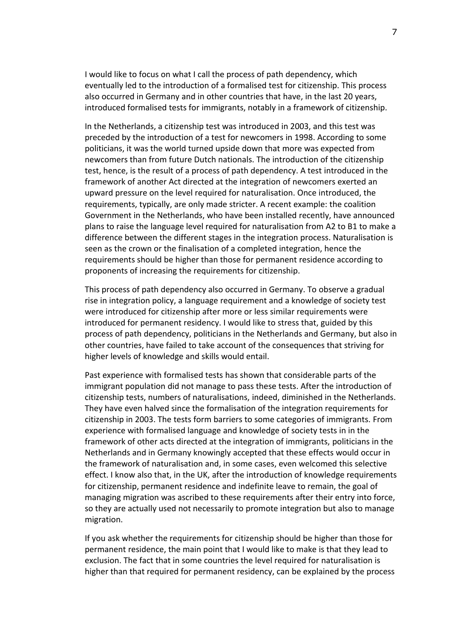I would like to focus on what I call the process of path dependency, which eventually led to the introduction of a formalised test for citizenship. This process also occurred in Germany and in other countries that have, in the last 20 years, introduced formalised tests for immigrants, notably in a framework of citizenship.

In the Netherlands, a citizenship test was introduced in 2003, and this test was preceded by the introduction of a test for newcomers in 1998. According to some politicians, it was the world turned upside down that more was expected from newcomers than from future Dutch nationals. The introduction of the citizenship test, hence, is the result of a process of path dependency. A test introduced in the framework of another Act directed at the integration of newcomers exerted an upward pressure on the level required for naturalisation. Once introduced, the requirements, typically, are only made stricter. A recent example: the coalition Government in the Netherlands, who have been installed recently, have announced plans to raise the language level required for naturalisation from A2 to B1 to make a difference between the different stages in the integration process. Naturalisation is seen as the crown or the finalisation of a completed integration, hence the requirements should be higher than those for permanent residence according to proponents of increasing the requirements for citizenship.

This process of path dependency also occurred in Germany. To observe a gradual rise in integration policy, a language requirement and a knowledge of society test were introduced for citizenship after more or less similar requirements were introduced for permanent residency. I would like to stress that, guided by this process of path dependency, politicians in the Netherlands and Germany, but also in other countries, have failed to take account of the consequences that striving for higher levels of knowledge and skills would entail.

Past experience with formalised tests has shown that considerable parts of the immigrant population did not manage to pass these tests. After the introduction of citizenship tests, numbers of naturalisations, indeed, diminished in the Netherlands. They have even halved since the formalisation of the integration requirements for citizenship in 2003. The tests form barriers to some categories of immigrants. From experience with formalised language and knowledge of society tests in in the framework of other acts directed at the integration of immigrants, politicians in the Netherlands and in Germany knowingly accepted that these effects would occur in the framework of naturalisation and, in some cases, even welcomed this selective effect. I know also that, in the UK, after the introduction of knowledge requirements for citizenship, permanent residence and indefinite leave to remain, the goal of managing migration was ascribed to these requirements after their entry into force, so they are actually used not necessarily to promote integration but also to manage migration.

If you ask whether the requirements for citizenship should be higher than those for permanent residence, the main point that I would like to make is that they lead to exclusion. The fact that in some countries the level required for naturalisation is higher than that required for permanent residency, can be explained by the process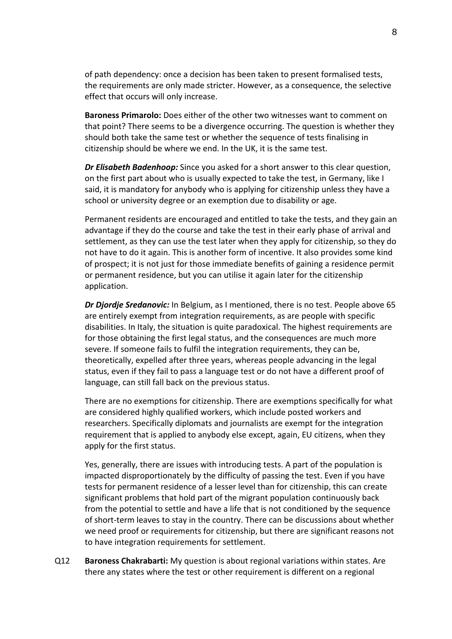of path dependency: once a decision has been taken to present formalised tests, the requirements are only made stricter. However, as a consequence, the selective effect that occurs will only increase.

**Baroness Primarolo:** Does either of the other two witnesses want to comment on that point? There seems to be a divergence occurring. The question is whether they should both take the same test or whether the sequence of tests finalising in citizenship should be where we end. In the UK, it is the same test.

*Dr Elisabeth Badenhoop:* Since you asked for a short answer to this clear question, on the first part about who is usually expected to take the test, in Germany, like I said, it is mandatory for anybody who is applying for citizenship unless they have a school or university degree or an exemption due to disability or age.

Permanent residents are encouraged and entitled to take the tests, and they gain an advantage if they do the course and take the test in their early phase of arrival and settlement, as they can use the test later when they apply for citizenship, so they do not have to do it again. This is another form of incentive. It also provides some kind of prospect; it is not just for those immediate benefits of gaining a residence permit or permanent residence, but you can utilise it again later for the citizenship application.

*Dr Djordje Sredanovic:* In Belgium, as I mentioned, there is no test. People above 65 are entirely exempt from integration requirements, as are people with specific disabilities. In Italy, the situation is quite paradoxical. The highest requirements are for those obtaining the first legal status, and the consequences are much more severe. If someone fails to fulfil the integration requirements, they can be, theoretically, expelled after three years, whereas people advancing in the legal status, even if they fail to pass a language test or do not have a different proof of language, can still fall back on the previous status.

There are no exemptions for citizenship. There are exemptions specifically for what are considered highly qualified workers, which include posted workers and researchers. Specifically diplomats and journalists are exempt for the integration requirement that is applied to anybody else except, again, EU citizens, when they apply for the first status.

Yes, generally, there are issues with introducing tests. A part of the population is impacted disproportionately by the difficulty of passing the test. Even if you have tests for permanent residence of a lesser level than for citizenship, this can create significant problems that hold part of the migrant population continuously back from the potential to settle and have a life that is not conditioned by the sequence of short-term leaves to stay in the country. There can be discussions about whether we need proof or requirements for citizenship, but there are significant reasons not to have integration requirements for settlement.

Q12 **Baroness Chakrabarti:** My question is about regional variations within states. Are there any states where the test or other requirement is different on a regional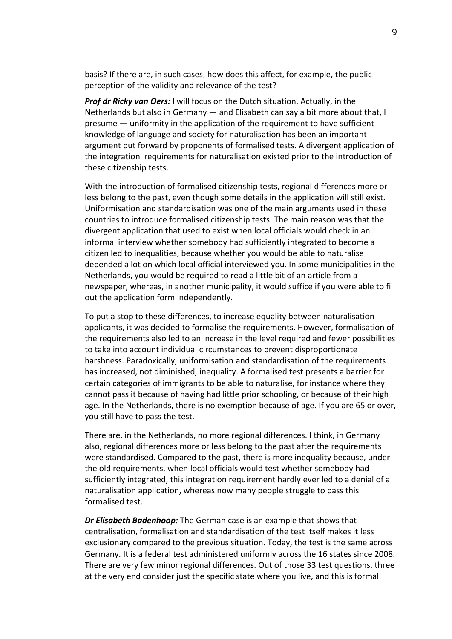basis? If there are, in such cases, how does this affect, for example, the public perception of the validity and relevance of the test?

*Prof dr Ricky van Oers:* I will focus on the Dutch situation. Actually, in the Netherlands but also in Germany — and Elisabeth can say a bit more about that, I presume — uniformity in the application of the requirement to have sufficient knowledge of language and society for naturalisation has been an important argument put forward by proponents of formalised tests. A divergent application of the integration requirements for naturalisation existed prior to the introduction of these citizenship tests.

With the introduction of formalised citizenship tests, regional differences more or less belong to the past, even though some details in the application will still exist. Uniformisation and standardisation was one of the main arguments used in these countries to introduce formalised citizenship tests. The main reason was that the divergent application that used to exist when local officials would check in an informal interview whether somebody had sufficiently integrated to become a citizen led to inequalities, because whether you would be able to naturalise depended a lot on which local official interviewed you. In some municipalities in the Netherlands, you would be required to read a little bit of an article from a newspaper, whereas, in another municipality, it would suffice if you were able to fill out the application form independently.

To put a stop to these differences, to increase equality between naturalisation applicants, it was decided to formalise the requirements. However, formalisation of the requirements also led to an increase in the level required and fewer possibilities to take into account individual circumstances to prevent disproportionate harshness. Paradoxically, uniformisation and standardisation of the requirements has increased, not diminished, inequality. A formalised test presents a barrier for certain categories of immigrants to be able to naturalise, for instance where they cannot pass it because of having had little prior schooling, or because of their high age. In the Netherlands, there is no exemption because of age. If you are 65 or over, you still have to pass the test.

There are, in the Netherlands, no more regional differences. I think, in Germany also, regional differences more or less belong to the past after the requirements were standardised. Compared to the past, there is more inequality because, under the old requirements, when local officials would test whether somebody had sufficiently integrated, this integration requirement hardly ever led to a denial of a naturalisation application, whereas now many people struggle to pass this formalised test.

*Dr Elisabeth Badenhoop:* The German case is an example that shows that centralisation, formalisation and standardisation of the test itself makes it less exclusionary compared to the previous situation. Today, the test is the same across Germany. It is a federal test administered uniformly across the 16 states since 2008. There are very few minor regional differences. Out of those 33 test questions, three at the very end consider just the specific state where you live, and this is formal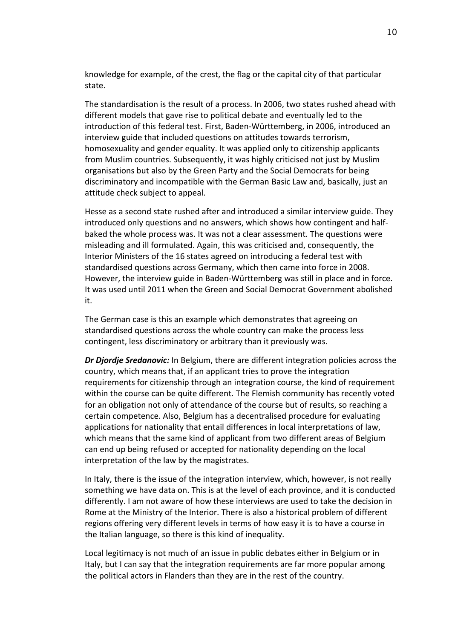knowledge for example, of the crest, the flag or the capital city of that particular state.

The standardisation is the result of a process. In 2006, two states rushed ahead with different models that gave rise to political debate and eventually led to the introduction of this federal test. First, Baden-Württemberg, in 2006, introduced an interview guide that included questions on attitudes towards terrorism, homosexuality and gender equality. It was applied only to citizenship applicants from Muslim countries. Subsequently, it was highly criticised not just by Muslim organisations but also by the Green Party and the Social Democrats for being discriminatory and incompatible with the German Basic Law and, basically, just an attitude check subject to appeal.

Hesse as a second state rushed after and introduced a similar interview guide. They introduced only questions and no answers, which shows how contingent and halfbaked the whole process was. It was not a clear assessment. The questions were misleading and ill formulated. Again, this was criticised and, consequently, the Interior Ministers of the 16 states agreed on introducing a federal test with standardised questions across Germany, which then came into force in 2008. However, the interview guide in Baden-Württemberg was still in place and in force. It was used until 2011 when the Green and Social Democrat Government abolished it.

The German case is this an example which demonstrates that agreeing on standardised questions across the whole country can make the process less contingent, less discriminatory or arbitrary than it previously was.

*Dr Djordje Sredanovic:* In Belgium, there are different integration policies across the country, which means that, if an applicant tries to prove the integration requirements for citizenship through an integration course, the kind of requirement within the course can be quite different. The Flemish community has recently voted for an obligation not only of attendance of the course but of results, so reaching a certain competence. Also, Belgium has a decentralised procedure for evaluating applications for nationality that entail differences in local interpretations of law, which means that the same kind of applicant from two different areas of Belgium can end up being refused or accepted for nationality depending on the local interpretation of the law by the magistrates.

In Italy, there is the issue of the integration interview, which, however, is not really something we have data on. This is at the level of each province, and it is conducted differently. I am not aware of how these interviews are used to take the decision in Rome at the Ministry of the Interior. There is also a historical problem of different regions offering very different levels in terms of how easy it is to have a course in the Italian language, so there is this kind of inequality.

Local legitimacy is not much of an issue in public debates either in Belgium or in Italy, but I can say that the integration requirements are far more popular among the political actors in Flanders than they are in the rest of the country.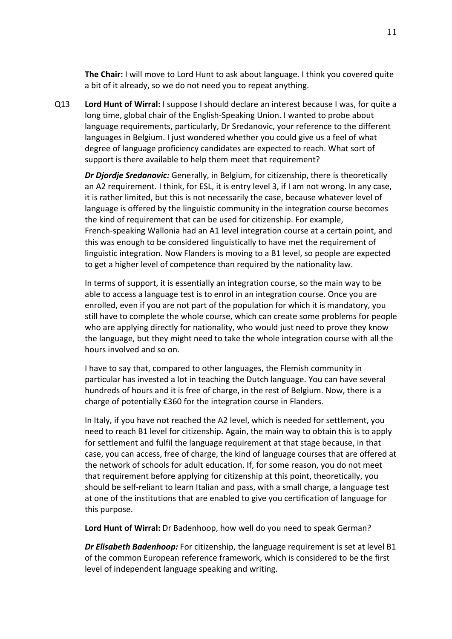**The Chair:** I will move to Lord Hunt to ask about language. I think you covered quite a bit of it already, so we do not need you to repeat anything.

Q13 **Lord Hunt of Wirral:** I suppose I should declare an interest because I was, for quite a long time, global chair of the English-Speaking Union. I wanted to probe about language requirements, particularly, Dr Sredanovic, your reference to the different languages in Belgium. I just wondered whether you could give us a feel of what degree of language proficiency candidates are expected to reach. What sort of support is there available to help them meet that requirement?

*Dr Djordje Sredanovic:* Generally, in Belgium, for citizenship, there is theoretically an A2 requirement. I think, for ESL, it is entry level 3, if I am not wrong. In any case, it is rather limited, but this is not necessarily the case, because whatever level of language is offered by the linguistic community in the integration course becomes the kind of requirement that can be used for citizenship. For example, French-speaking Wallonia had an A1 level integration course at a certain point, and this was enough to be considered linguistically to have met the requirement of linguistic integration. Now Flanders is moving to a B1 level, so people are expected to get a higher level of competence than required by the nationality law.

In terms of support, it is essentially an integration course, so the main way to be able to access a language test is to enrol in an integration course. Once you are enrolled, even if you are not part of the population for which it is mandatory, you still have to complete the whole course, which can create some problems for people who are applying directly for nationality, who would just need to prove they know the language, but they might need to take the whole integration course with all the hours involved and so on.

I have to say that, compared to other languages, the Flemish community in particular has invested a lot in teaching the Dutch language. You can have several hundreds of hours and it is free of charge, in the rest of Belgium. Now, there is a charge of potentially €360 for the integration course in Flanders.

In Italy, if you have not reached the A2 level, which is needed for settlement, you need to reach B1 level for citizenship. Again, the main way to obtain this is to apply for settlement and fulfil the language requirement at that stage because, in that case, you can access, free of charge, the kind of language courses that are offered at the network of schools for adult education. If, for some reason, you do not meet that requirement before applying for citizenship at this point, theoretically, you should be self-reliant to learn Italian and pass, with a small charge, a language test at one of the institutions that are enabled to give you certification of language for this purpose.

**Lord Hunt of Wirral:** Dr Badenhoop, how well do you need to speak German?

*Dr Elisabeth Badenhoop:* For citizenship, the language requirement is set at level B1 of the common European reference framework, which is considered to be the first level of independent language speaking and writing.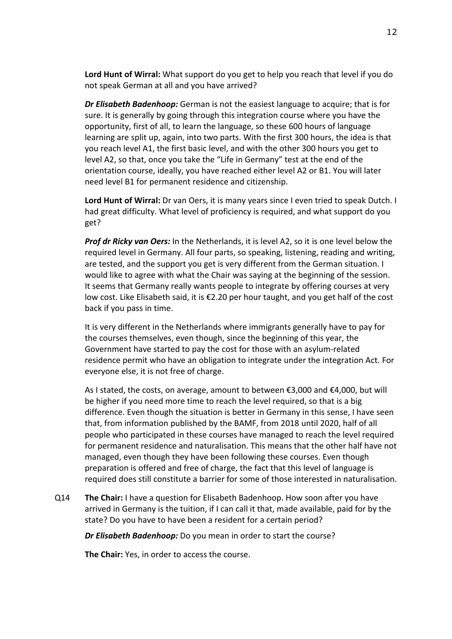**Lord Hunt of Wirral:** What support do you get to help you reach that level if you do not speak German at all and you have arrived?

*Dr Elisabeth Badenhoop:* German is not the easiest language to acquire; that is for sure. It is generally by going through this integration course where you have the opportunity, first of all, to learn the language, so these 600 hours of language learning are split up, again, into two parts. With the first 300 hours, the idea is that you reach level A1, the first basic level, and with the other 300 hours you get to level A2, so that, once you take the "Life in Germany" test at the end of the orientation course, ideally, you have reached either level A2 or B1. You will later need level B1 for permanent residence and citizenship.

**Lord Hunt of Wirral:** Dr van Oers, it is many years since I even tried to speak Dutch. I had great difficulty. What level of proficiency is required, and what support do you get?

*Prof dr Ricky van Oers:* In the Netherlands, it is level A2, so it is one level below the required level in Germany. All four parts, so speaking, listening, reading and writing, are tested, and the support you get is very different from the German situation. I would like to agree with what the Chair was saying at the beginning of the session. It seems that Germany really wants people to integrate by offering courses at very low cost. Like Elisabeth said, it is  $\epsilon$ 2.20 per hour taught, and you get half of the cost back if you pass in time.

It is very different in the Netherlands where immigrants generally have to pay for the courses themselves, even though, since the beginning of this year, the Government have started to pay the cost for those with an asylum-related residence permit who have an obligation to integrate under the integration Act. For everyone else, it is not free of charge.

As I stated, the costs, on average, amount to between €3,000 and €4,000, but will be higher if you need more time to reach the level required, so that is a big difference. Even though the situation is better in Germany in this sense, I have seen that, from information published by the BAMF, from 2018 until 2020, half of all people who participated in these courses have managed to reach the level required for permanent residence and naturalisation. This means that the other half have not managed, even though they have been following these courses. Even though preparation is offered and free of charge, the fact that this level of language is required does still constitute a barrier for some of those interested in naturalisation.

Q14 **The Chair:** I have a question for Elisabeth Badenhoop. How soon after you have arrived in Germany is the tuition, if I can call it that, made available, paid for by the state? Do you have to have been a resident for a certain period?

*Dr Elisabeth Badenhoop:* Do you mean in order to start the course?

**The Chair:** Yes, in order to access the course.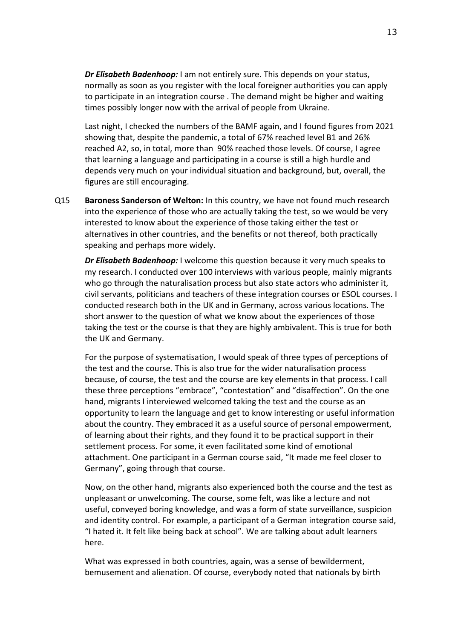*Dr Elisabeth Badenhoop:* I am not entirely sure. This depends on your status, normally as soon as you register with the local foreigner authorities you can apply to participate in an integration course . The demand might be higher and waiting times possibly longer now with the arrival of people from Ukraine.

Last night, I checked the numbers of the BAMF again, and I found figures from 2021 showing that, despite the pandemic, a total of 67% reached level B1 and 26% reached A2, so, in total, more than 90% reached those levels. Of course, I agree that learning a language and participating in a course is still a high hurdle and depends very much on your individual situation and background, but, overall, the figures are still encouraging.

Q15 **Baroness Sanderson of Welton:** In this country, we have not found much research into the experience of those who are actually taking the test, so we would be very interested to know about the experience of those taking either the test or alternatives in other countries, and the benefits or not thereof, both practically speaking and perhaps more widely.

*Dr Elisabeth Badenhoop:* I welcome this question because it very much speaks to my research. I conducted over 100 interviews with various people, mainly migrants who go through the naturalisation process but also state actors who administer it, civil servants, politicians and teachers of these integration courses or ESOL courses. I conducted research both in the UK and in Germany, across various locations. The short answer to the question of what we know about the experiences of those taking the test or the course is that they are highly ambivalent. This is true for both the UK and Germany.

For the purpose of systematisation, I would speak of three types of perceptions of the test and the course. This is also true for the wider naturalisation process because, of course, the test and the course are key elements in that process. I call these three perceptions "embrace", "contestation" and "disaffection". On the one hand, migrants I interviewed welcomed taking the test and the course as an opportunity to learn the language and get to know interesting or useful information about the country. They embraced it as a useful source of personal empowerment, of learning about their rights, and they found it to be practical support in their settlement process. For some, it even facilitated some kind of emotional attachment. One participant in a German course said, "It made me feel closer to Germany", going through that course.

Now, on the other hand, migrants also experienced both the course and the test as unpleasant or unwelcoming. The course, some felt, was like a lecture and not useful, conveyed boring knowledge, and was a form of state surveillance, suspicion and identity control. For example, a participant of a German integration course said, "I hated it. It felt like being back at school". We are talking about adult learners here.

What was expressed in both countries, again, was a sense of bewilderment, bemusement and alienation. Of course, everybody noted that nationals by birth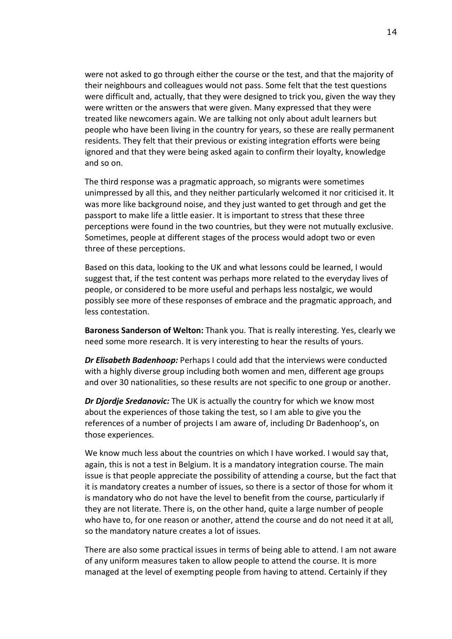were not asked to go through either the course or the test, and that the majority of their neighbours and colleagues would not pass. Some felt that the test questions were difficult and, actually, that they were designed to trick you, given the way they were written or the answers that were given. Many expressed that they were treated like newcomers again. We are talking not only about adult learners but people who have been living in the country for years, so these are really permanent residents. They felt that their previous or existing integration efforts were being ignored and that they were being asked again to confirm their loyalty, knowledge and so on.

The third response was a pragmatic approach, so migrants were sometimes unimpressed by all this, and they neither particularly welcomed it nor criticised it. It was more like background noise, and they just wanted to get through and get the passport to make life a little easier. It is important to stress that these three perceptions were found in the two countries, but they were not mutually exclusive. Sometimes, people at different stages of the process would adopt two or even three of these perceptions.

Based on this data, looking to the UK and what lessons could be learned, I would suggest that, if the test content was perhaps more related to the everyday lives of people, or considered to be more useful and perhaps less nostalgic, we would possibly see more of these responses of embrace and the pragmatic approach, and less contestation.

**Baroness Sanderson of Welton:** Thank you. That is really interesting. Yes, clearly we need some more research. It is very interesting to hear the results of yours.

*Dr Elisabeth Badenhoop:* Perhaps I could add that the interviews were conducted with a highly diverse group including both women and men, different age groups and over 30 nationalities, so these results are not specific to one group or another.

*Dr Djordje Sredanovic:* The UK is actually the country for which we know most about the experiences of those taking the test, so I am able to give you the references of a number of projects I am aware of, including Dr Badenhoop's, on those experiences.

We know much less about the countries on which I have worked. I would say that, again, this is not a test in Belgium. It is a mandatory integration course. The main issue is that people appreciate the possibility of attending a course, but the fact that it is mandatory creates a number of issues, so there is a sector of those for whom it is mandatory who do not have the level to benefit from the course, particularly if they are not literate. There is, on the other hand, quite a large number of people who have to, for one reason or another, attend the course and do not need it at all, so the mandatory nature creates a lot of issues.

There are also some practical issues in terms of being able to attend. I am not aware of any uniform measures taken to allow people to attend the course. It is more managed at the level of exempting people from having to attend. Certainly if they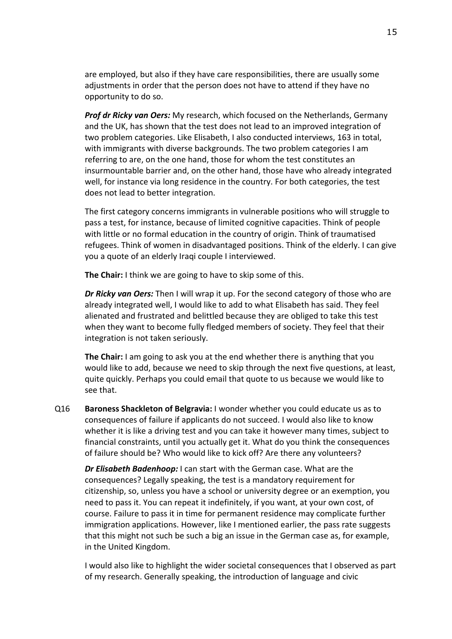are employed, but also if they have care responsibilities, there are usually some adjustments in order that the person does not have to attend if they have no opportunity to do so.

*Prof dr Ricky van Oers:* My research, which focused on the Netherlands, Germany and the UK, has shown that the test does not lead to an improved integration of two problem categories. Like Elisabeth, I also conducted interviews, 163 in total, with immigrants with diverse backgrounds. The two problem categories I am referring to are, on the one hand, those for whom the test constitutes an insurmountable barrier and, on the other hand, those have who already integrated well, for instance via long residence in the country. For both categories, the test does not lead to better integration.

The first category concerns immigrants in vulnerable positions who will struggle to pass a test, for instance, because of limited cognitive capacities. Think of people with little or no formal education in the country of origin. Think of traumatised refugees. Think of women in disadvantaged positions. Think of the elderly. I can give you a quote of an elderly Iraqi couple I interviewed.

**The Chair:** I think we are going to have to skip some of this.

*Dr Ricky van Oers:* Then I will wrap it up. For the second category of those who are already integrated well, I would like to add to what Elisabeth has said. They feel alienated and frustrated and belittled because they are obliged to take this test when they want to become fully fledged members of society. They feel that their integration is not taken seriously.

**The Chair:** I am going to ask you at the end whether there is anything that you would like to add, because we need to skip through the next five questions, at least, quite quickly. Perhaps you could email that quote to us because we would like to see that.

Q16 **Baroness Shackleton of Belgravia:** I wonder whether you could educate us as to consequences of failure if applicants do not succeed. I would also like to know whether it is like a driving test and you can take it however many times, subject to financial constraints, until you actually get it. What do you think the consequences of failure should be? Who would like to kick off? Are there any volunteers?

*Dr Elisabeth Badenhoop:* I can start with the German case. What are the consequences? Legally speaking, the test is a mandatory requirement for citizenship, so, unless you have a school or university degree or an exemption, you need to pass it. You can repeat it indefinitely, if you want, at your own cost, of course. Failure to pass it in time for permanent residence may complicate further immigration applications. However, like I mentioned earlier, the pass rate suggests that this might not such be such a big an issue in the German case as, for example, in the United Kingdom.

I would also like to highlight the wider societal consequences that I observed as part of my research. Generally speaking, the introduction of language and civic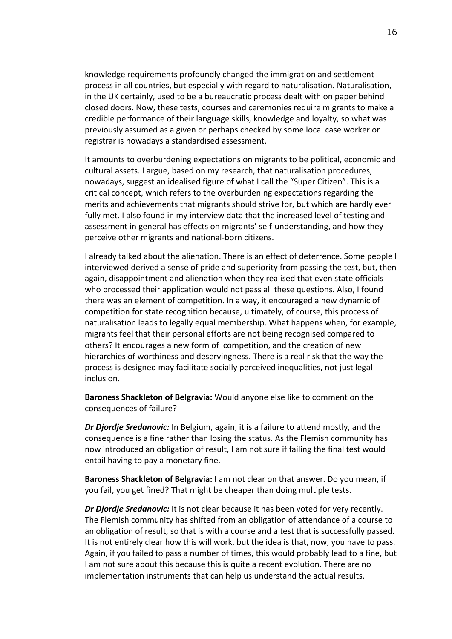knowledge requirements profoundly changed the immigration and settlement process in all countries, but especially with regard to naturalisation. Naturalisation, in the UK certainly, used to be a bureaucratic process dealt with on paper behind closed doors. Now, these tests, courses and ceremonies require migrants to make a credible performance of their language skills, knowledge and loyalty, so what was previously assumed as a given or perhaps checked by some local case worker or registrar is nowadays a standardised assessment.

It amounts to overburdening expectations on migrants to be political, economic and cultural assets. I argue, based on my research, that naturalisation procedures, nowadays, suggest an idealised figure of what I call the "Super Citizen". This is a critical concept, which refers to the overburdening expectations regarding the merits and achievements that migrants should strive for, but which are hardly ever fully met. I also found in my interview data that the increased level of testing and assessment in general has effects on migrants' self-understanding, and how they perceive other migrants and national-born citizens.

I already talked about the alienation. There is an effect of deterrence. Some people I interviewed derived a sense of pride and superiority from passing the test, but, then again, disappointment and alienation when they realised that even state officials who processed their application would not pass all these questions. Also, I found there was an element of competition. In a way, it encouraged a new dynamic of competition for state recognition because, ultimately, of course, this process of naturalisation leads to legally equal membership. What happens when, for example, migrants feel that their personal efforts are not being recognised compared to others? It encourages a new form of competition, and the creation of new hierarchies of worthiness and deservingness. There is a real risk that the way the process is designed may facilitate socially perceived inequalities, not just legal inclusion.

**Baroness Shackleton of Belgravia:** Would anyone else like to comment on the consequences of failure?

*Dr Djordje Sredanovic:* In Belgium, again, it is a failure to attend mostly, and the consequence is a fine rather than losing the status. As the Flemish community has now introduced an obligation of result, I am not sure if failing the final test would entail having to pay a monetary fine.

**Baroness Shackleton of Belgravia:** I am not clear on that answer. Do you mean, if you fail, you get fined? That might be cheaper than doing multiple tests.

*Dr Djordje Sredanovic:* It is not clear because it has been voted for very recently. The Flemish community has shifted from an obligation of attendance of a course to an obligation of result, so that is with a course and a test that is successfully passed. It is not entirely clear how this will work, but the idea is that, now, you have to pass. Again, if you failed to pass a number of times, this would probably lead to a fine, but I am not sure about this because this is quite a recent evolution. There are no implementation instruments that can help us understand the actual results.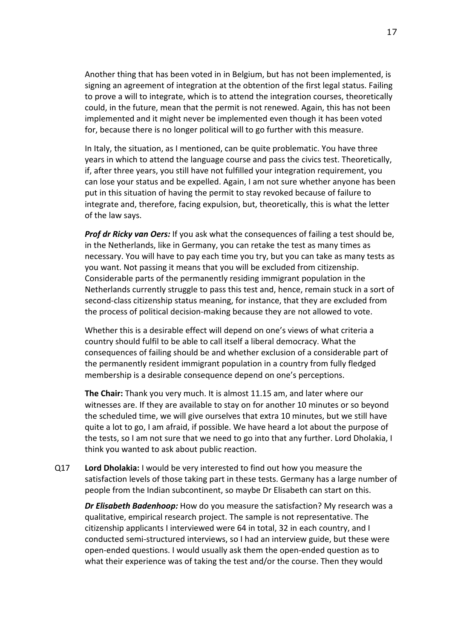Another thing that has been voted in in Belgium, but has not been implemented, is signing an agreement of integration at the obtention of the first legal status. Failing to prove a will to integrate, which is to attend the integration courses, theoretically could, in the future, mean that the permit is not renewed. Again, this has not been implemented and it might never be implemented even though it has been voted for, because there is no longer political will to go further with this measure.

In Italy, the situation, as I mentioned, can be quite problematic. You have three years in which to attend the language course and pass the civics test. Theoretically, if, after three years, you still have not fulfilled your integration requirement, you can lose your status and be expelled. Again, I am not sure whether anyone has been put in this situation of having the permit to stay revoked because of failure to integrate and, therefore, facing expulsion, but, theoretically, this is what the letter of the law says.

*Prof dr Ricky van Oers:* If you ask what the consequences of failing a test should be, in the Netherlands, like in Germany, you can retake the test as many times as necessary. You will have to pay each time you try, but you can take as many tests as you want. Not passing it means that you will be excluded from citizenship. Considerable parts of the permanently residing immigrant population in the Netherlands currently struggle to pass this test and, hence, remain stuck in a sort of second-class citizenship status meaning, for instance, that they are excluded from the process of political decision-making because they are not allowed to vote.

Whether this is a desirable effect will depend on one's views of what criteria a country should fulfil to be able to call itself a liberal democracy. What the consequences of failing should be and whether exclusion of a considerable part of the permanently resident immigrant population in a country from fully fledged membership is a desirable consequence depend on one's perceptions.

**The Chair:** Thank you very much. It is almost 11.15 am, and later where our witnesses are. If they are available to stay on for another 10 minutes or so beyond the scheduled time, we will give ourselves that extra 10 minutes, but we still have quite a lot to go, I am afraid, if possible. We have heard a lot about the purpose of the tests, so I am not sure that we need to go into that any further. Lord Dholakia, I think you wanted to ask about public reaction.

Q17 **Lord Dholakia:** I would be very interested to find out how you measure the satisfaction levels of those taking part in these tests. Germany has a large number of people from the Indian subcontinent, so maybe Dr Elisabeth can start on this.

*Dr Elisabeth Badenhoop:* How do you measure the satisfaction? My research was a qualitative, empirical research project. The sample is not representative. The citizenship applicants I interviewed were 64 in total, 32 in each country, and I conducted semi-structured interviews, so I had an interview guide, but these were open-ended questions. I would usually ask them the open-ended question as to what their experience was of taking the test and/or the course. Then they would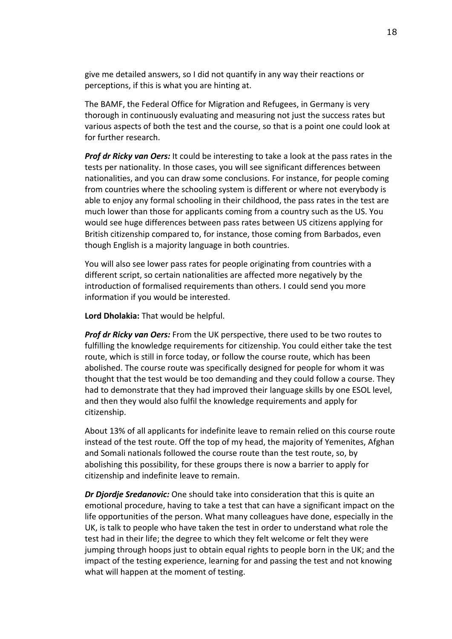give me detailed answers, so I did not quantify in any way their reactions or perceptions, if this is what you are hinting at.

The BAMF, the Federal Office for Migration and Refugees, in Germany is very thorough in continuously evaluating and measuring not just the success rates but various aspects of both the test and the course, so that is a point one could look at for further research.

*Prof dr Ricky van Oers:* It could be interesting to take a look at the pass rates in the tests per nationality. In those cases, you will see significant differences between nationalities, and you can draw some conclusions. For instance, for people coming from countries where the schooling system is different or where not everybody is able to enjoy any formal schooling in their childhood, the pass rates in the test are much lower than those for applicants coming from a country such as the US. You would see huge differences between pass rates between US citizens applying for British citizenship compared to, for instance, those coming from Barbados, even though English is a majority language in both countries.

You will also see lower pass rates for people originating from countries with a different script, so certain nationalities are affected more negatively by the introduction of formalised requirements than others. I could send you more information if you would be interested.

**Lord Dholakia:** That would be helpful.

*Prof dr Ricky van Oers:* From the UK perspective, there used to be two routes to fulfilling the knowledge requirements for citizenship. You could either take the test route, which is still in force today, or follow the course route, which has been abolished. The course route was specifically designed for people for whom it was thought that the test would be too demanding and they could follow a course. They had to demonstrate that they had improved their language skills by one ESOL level, and then they would also fulfil the knowledge requirements and apply for citizenship.

About 13% of all applicants for indefinite leave to remain relied on this course route instead of the test route. Off the top of my head, the majority of Yemenites, Afghan and Somali nationals followed the course route than the test route, so, by abolishing this possibility, for these groups there is now a barrier to apply for citizenship and indefinite leave to remain.

*Dr Djordje Sredanovic:* One should take into consideration that this is quite an emotional procedure, having to take a test that can have a significant impact on the life opportunities of the person. What many colleagues have done, especially in the UK, is talk to people who have taken the test in order to understand what role the test had in their life; the degree to which they felt welcome or felt they were jumping through hoops just to obtain equal rights to people born in the UK; and the impact of the testing experience, learning for and passing the test and not knowing what will happen at the moment of testing.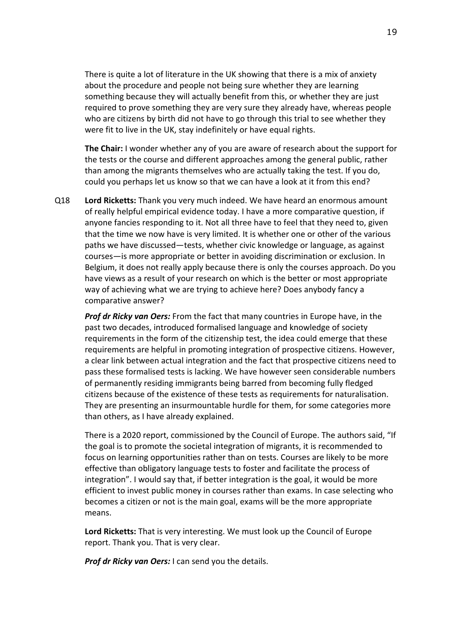There is quite a lot of literature in the UK showing that there is a mix of anxiety about the procedure and people not being sure whether they are learning something because they will actually benefit from this, or whether they are just required to prove something they are very sure they already have, whereas people who are citizens by birth did not have to go through this trial to see whether they were fit to live in the UK, stay indefinitely or have equal rights.

**The Chair:** I wonder whether any of you are aware of research about the support for the tests or the course and different approaches among the general public, rather than among the migrants themselves who are actually taking the test. If you do, could you perhaps let us know so that we can have a look at it from this end?

Q18 **Lord Ricketts:** Thank you very much indeed. We have heard an enormous amount of really helpful empirical evidence today. I have a more comparative question, if anyone fancies responding to it. Not all three have to feel that they need to, given that the time we now have is very limited. It is whether one or other of the various paths we have discussed—tests, whether civic knowledge or language, as against courses—is more appropriate or better in avoiding discrimination or exclusion. In Belgium, it does not really apply because there is only the courses approach. Do you have views as a result of your research on which is the better or most appropriate way of achieving what we are trying to achieve here? Does anybody fancy a comparative answer?

*Prof dr Ricky van Oers:* From the fact that many countries in Europe have, in the past two decades, introduced formalised language and knowledge of society requirements in the form of the citizenship test, the idea could emerge that these requirements are helpful in promoting integration of prospective citizens. However, a clear link between actual integration and the fact that prospective citizens need to pass these formalised tests is lacking. We have however seen considerable numbers of permanently residing immigrants being barred from becoming fully fledged citizens because of the existence of these tests as requirements for naturalisation. They are presenting an insurmountable hurdle for them, for some categories more than others, as I have already explained.

There is a 2020 report, commissioned by the Council of Europe. The authors said, "If the goal is to promote the societal integration of migrants, it is recommended to focus on learning opportunities rather than on tests. Courses are likely to be more effective than obligatory language tests to foster and facilitate the process of integration". I would say that, if better integration is the goal, it would be more efficient to invest public money in courses rather than exams. In case selecting who becomes a citizen or not is the main goal, exams will be the more appropriate means.

**Lord Ricketts:** That is very interesting. We must look up the Council of Europe report. Thank you. That is very clear.

*Prof dr Ricky van Oers:* I can send you the details.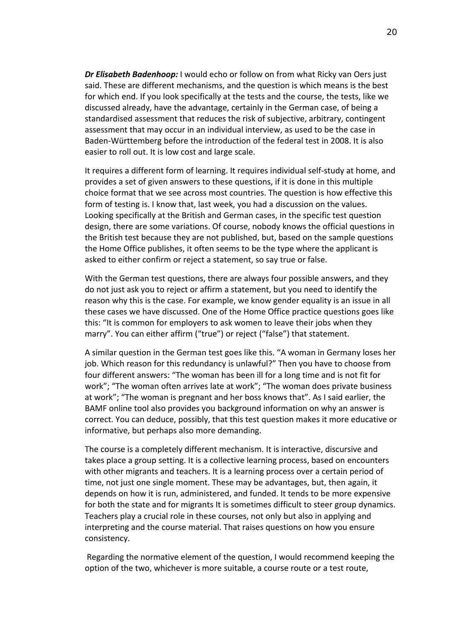*Dr Elisabeth Badenhoop:* I would echo or follow on from what Ricky van Oers just said. These are different mechanisms, and the question is which means is the best for which end. If you look specifically at the tests and the course, the tests, like we discussed already, have the advantage, certainly in the German case, of being a standardised assessment that reduces the risk of subjective, arbitrary, contingent assessment that may occur in an individual interview, as used to be the case in Baden-Württemberg before the introduction of the federal test in 2008. It is also easier to roll out. It is low cost and large scale.

It requires a different form of learning. It requires individual self-study at home, and provides a set of given answers to these questions, if it is done in this multiple choice format that we see across most countries. The question is how effective this form of testing is. I know that, last week, you had a discussion on the values. Looking specifically at the British and German cases, in the specific test question design, there are some variations. Of course, nobody knows the official questions in the British test because they are not published, but, based on the sample questions the Home Office publishes, it often seems to be the type where the applicant is asked to either confirm or reject a statement, so say true or false.

With the German test questions, there are always four possible answers, and they do not just ask you to reject or affirm a statement, but you need to identify the reason why this is the case. For example, we know gender equality is an issue in all these cases we have discussed. One of the Home Office practice questions goes like this: "It is common for employers to ask women to leave their jobs when they marry". You can either affirm ("true") or reject ("false") that statement.

A similar question in the German test goes like this. "A woman in Germany loses her job. Which reason for this redundancy is unlawful?" Then you have to choose from four different answers: "The woman has been ill for a long time and is not fit for work"; "The woman often arrives late at work"; "The woman does private business at work"; "The woman is pregnant and her boss knows that". As I said earlier, the BAMF online tool also provides you background information on why an answer is correct. You can deduce, possibly, that this test question makes it more educative or informative, but perhaps also more demanding.

The course is a completely different mechanism. It is interactive, discursive and takes place a group setting. It is a collective learning process, based on encounters with other migrants and teachers. It is a learning process over a certain period of time, not just one single moment. These may be advantages, but, then again, it depends on how it is run, administered, and funded. It tends to be more expensive for both the state and for migrants It is sometimes difficult to steer group dynamics. Teachers play a crucial role in these courses, not only but also in applying and interpreting and the course material. That raises questions on how you ensure consistency.

Regarding the normative element of the question, I would recommend keeping the option of the two, whichever is more suitable, a course route or a test route,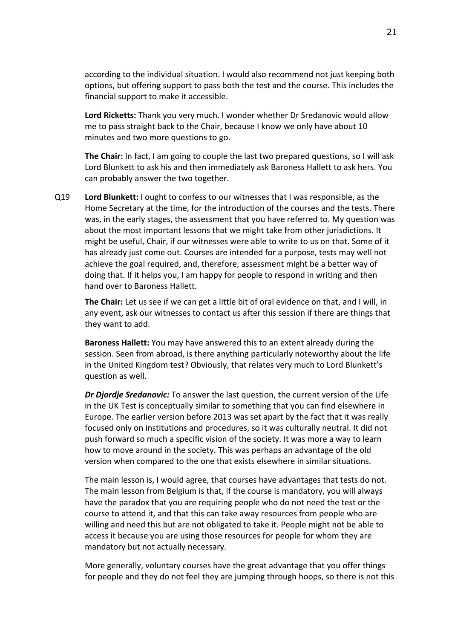according to the individual situation. I would also recommend not just keeping both options, but offering support to pass both the test and the course. This includes the financial support to make it accessible.

**Lord Ricketts:** Thank you very much. I wonder whether Dr Sredanovic would allow me to pass straight back to the Chair, because I know we only have about 10 minutes and two more questions to go.

**The Chair:** In fact, I am going to couple the last two prepared questions, so I will ask Lord Blunkett to ask his and then immediately ask Baroness Hallett to ask hers. You can probably answer the two together.

Q19 **Lord Blunkett:** I ought to confess to our witnesses that I was responsible, as the Home Secretary at the time, for the introduction of the courses and the tests. There was, in the early stages, the assessment that you have referred to. My question was about the most important lessons that we might take from other jurisdictions. It might be useful, Chair, if our witnesses were able to write to us on that. Some of it has already just come out. Courses are intended for a purpose, tests may well not achieve the goal required, and, therefore, assessment might be a better way of doing that. If it helps you, I am happy for people to respond in writing and then hand over to Baroness Hallett.

**The Chair:** Let us see if we can get a little bit of oral evidence on that, and I will, in any event, ask our witnesses to contact us after this session if there are things that they want to add.

**Baroness Hallett:** You may have answered this to an extent already during the session. Seen from abroad, is there anything particularly noteworthy about the life in the United Kingdom test? Obviously, that relates very much to Lord Blunkett's question as well.

*Dr Djordje Sredanovic:* To answer the last question, the current version of the Life in the UK Test is conceptually similar to something that you can find elsewhere in Europe. The earlier version before 2013 was set apart by the fact that it was really focused only on institutions and procedures, so it was culturally neutral. It did not push forward so much a specific vision of the society. It was more a way to learn how to move around in the society. This was perhaps an advantage of the old version when compared to the one that exists elsewhere in similar situations.

The main lesson is, I would agree, that courses have advantages that tests do not. The main lesson from Belgium is that, if the course is mandatory, you will always have the paradox that you are requiring people who do not need the test or the course to attend it, and that this can take away resources from people who are willing and need this but are not obligated to take it. People might not be able to access it because you are using those resources for people for whom they are mandatory but not actually necessary.

More generally, voluntary courses have the great advantage that you offer things for people and they do not feel they are jumping through hoops, so there is not this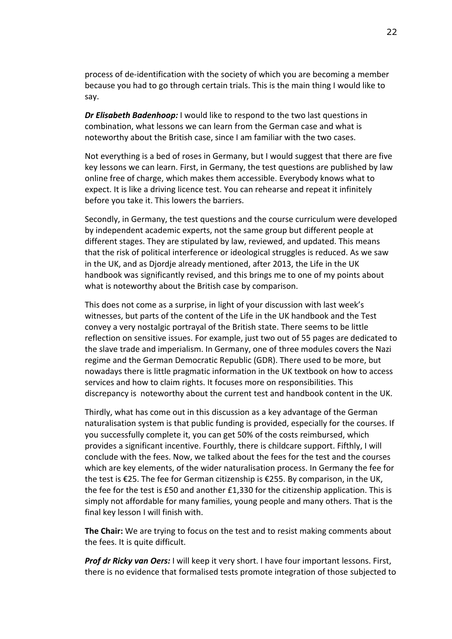process of de-identification with the society of which you are becoming a member because you had to go through certain trials. This is the main thing I would like to say.

*Dr Elisabeth Badenhoop:* I would like to respond to the two last questions in combination, what lessons we can learn from the German case and what is noteworthy about the British case, since I am familiar with the two cases.

Not everything is a bed of roses in Germany, but I would suggest that there are five key lessons we can learn. First, in Germany, the test questions are published by law online free of charge, which makes them accessible. Everybody knows what to expect. It is like a driving licence test. You can rehearse and repeat it infinitely before you take it. This lowers the barriers.

Secondly, in Germany, the test questions and the course curriculum were developed by independent academic experts, not the same group but different people at different stages. They are stipulated by law, reviewed, and updated. This means that the risk of political interference or ideological struggles is reduced. As we saw in the UK, and as Djordje already mentioned, after 2013, the Life in the UK handbook was significantly revised, and this brings me to one of my points about what is noteworthy about the British case by comparison.

This does not come as a surprise, in light of your discussion with last week's witnesses, but parts of the content of the Life in the UK handbook and the Test convey a very nostalgic portrayal of the British state. There seems to be little reflection on sensitive issues. For example, just two out of 55 pages are dedicated to the slave trade and imperialism. In Germany, one of three modules covers the Nazi regime and the German Democratic Republic (GDR). There used to be more, but nowadays there is little pragmatic information in the UK textbook on how to access services and how to claim rights. It focuses more on responsibilities. This discrepancy is noteworthy about the current test and handbook content in the UK.

Thirdly, what has come out in this discussion as a key advantage of the German naturalisation system is that public funding is provided, especially for the courses. If you successfully complete it, you can get 50% of the costs reimbursed, which provides a significant incentive. Fourthly, there is childcare support. Fifthly, I will conclude with the fees. Now, we talked about the fees for the test and the courses which are key elements, of the wider naturalisation process. In Germany the fee for the test is €25. The fee for German citizenship is €255. By comparison, in the UK, the fee for the test is £50 and another £1,330 for the citizenship application. This is simply not affordable for many families, young people and many others. That is the final key lesson I will finish with.

**The Chair:** We are trying to focus on the test and to resist making comments about the fees. It is quite difficult.

*Prof dr Ricky van Oers:* I will keep it very short. I have four important lessons. First, there is no evidence that formalised tests promote integration of those subjected to